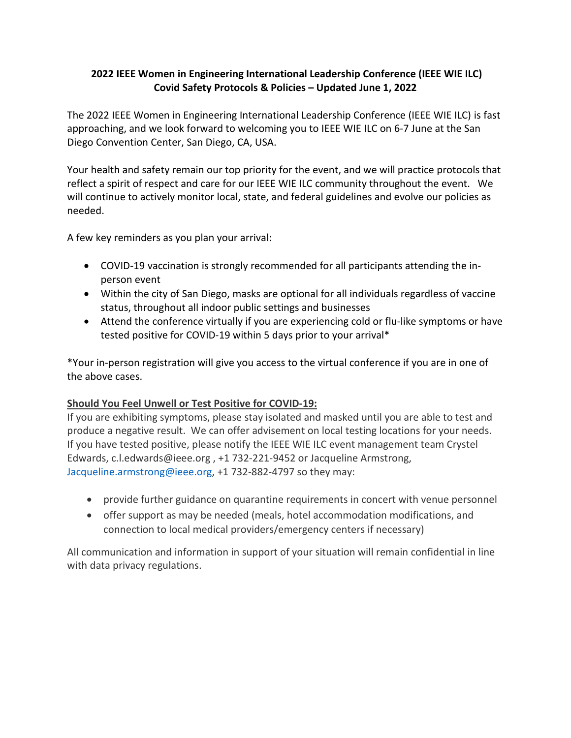## **2022 IEEE Women in Engineering International Leadership Conference (IEEE WIE ILC) Covid Safety Protocols & Policies – Updated June 1, 2022**

The 2022 IEEE Women in Engineering International Leadership Conference (IEEE WIE ILC) is fast approaching, and we look forward to welcoming you to IEEE WIE ILC on 6-7 June at the San Diego Convention Center, San Diego, CA, USA.

Your health and safety remain our top priority for the event, and we will practice protocols that reflect a spirit of respect and care for our IEEE WIE ILC community throughout the event. We will continue to actively monitor local, state, and federal guidelines and evolve our policies as needed.

A few key reminders as you plan your arrival:

- COVID-19 vaccination is strongly recommended for all participants attending the inperson event
- Within the city of San Diego, masks are optional for all individuals regardless of vaccine status, throughout all indoor public settings and businesses
- Attend the conference virtually if you are experiencing cold or flu-like symptoms or have tested positive for COVID-19 within 5 days prior to your arrival\*

\*Your in-person registration will give you access to the virtual conference if you are in one of the above cases.

## **Should You Feel Unwell or Test Positive for COVID-19:**

If you are exhibiting symptoms, please stay isolated and masked until you are able to test and produce a negative result. We can offer advisement on local testing locations for your needs. If you have tested positive, please notify the IEEE WIE ILC event management team Crystel Edwards, c.l.edwards@ieee.org , +1 732-221-9452 or Jacqueline Armstrong, [Jacqueline.armstrong@ieee.org,](mailto:Jacqueline.armstrong@ieee.org) +1 732-882-4797 so they may:

- provide further guidance on quarantine requirements in concert with venue personnel
- offer support as may be needed (meals, hotel accommodation modifications, and connection to local medical providers/emergency centers if necessary)

All communication and information in support of your situation will remain confidential in line with data privacy regulations.